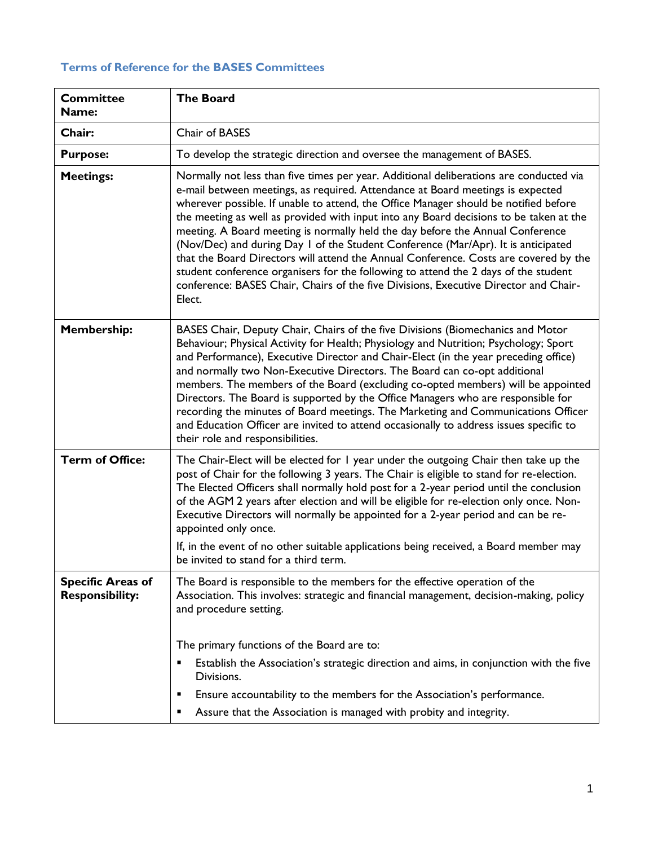## **Terms of Reference for the BASES Committees**

| <b>Committee</b><br>Name:                          | <b>The Board</b>                                                                                                                                                                                                                                                                                                                                                                                                                                                                                                                                                                                                                                                                                                                                                                                                   |
|----------------------------------------------------|--------------------------------------------------------------------------------------------------------------------------------------------------------------------------------------------------------------------------------------------------------------------------------------------------------------------------------------------------------------------------------------------------------------------------------------------------------------------------------------------------------------------------------------------------------------------------------------------------------------------------------------------------------------------------------------------------------------------------------------------------------------------------------------------------------------------|
| Chair:                                             | Chair of BASES                                                                                                                                                                                                                                                                                                                                                                                                                                                                                                                                                                                                                                                                                                                                                                                                     |
| <b>Purpose:</b>                                    | To develop the strategic direction and oversee the management of BASES.                                                                                                                                                                                                                                                                                                                                                                                                                                                                                                                                                                                                                                                                                                                                            |
| <b>Meetings:</b>                                   | Normally not less than five times per year. Additional deliberations are conducted via<br>e-mail between meetings, as required. Attendance at Board meetings is expected<br>wherever possible. If unable to attend, the Office Manager should be notified before<br>the meeting as well as provided with input into any Board decisions to be taken at the<br>meeting. A Board meeting is normally held the day before the Annual Conference<br>(Nov/Dec) and during Day 1 of the Student Conference (Mar/Apr). It is anticipated<br>that the Board Directors will attend the Annual Conference. Costs are covered by the<br>student conference organisers for the following to attend the 2 days of the student<br>conference: BASES Chair, Chairs of the five Divisions, Executive Director and Chair-<br>Elect. |
| <b>Membership:</b>                                 | BASES Chair, Deputy Chair, Chairs of the five Divisions (Biomechanics and Motor<br>Behaviour; Physical Activity for Health; Physiology and Nutrition; Psychology; Sport<br>and Performance), Executive Director and Chair-Elect (in the year preceding office)<br>and normally two Non-Executive Directors. The Board can co-opt additional<br>members. The members of the Board (excluding co-opted members) will be appointed<br>Directors. The Board is supported by the Office Managers who are responsible for<br>recording the minutes of Board meetings. The Marketing and Communications Officer<br>and Education Officer are invited to attend occasionally to address issues specific to<br>their role and responsibilities.                                                                             |
| <b>Term of Office:</b>                             | The Chair-Elect will be elected for I year under the outgoing Chair then take up the<br>post of Chair for the following 3 years. The Chair is eligible to stand for re-election.<br>The Elected Officers shall normally hold post for a 2-year period until the conclusion<br>of the AGM 2 years after election and will be eligible for re-election only once. Non-<br>Executive Directors will normally be appointed for a 2-year period and can be re-<br>appointed only once.<br>If, in the event of no other suitable applications being received, a Board member may<br>be invited to stand for a third term.                                                                                                                                                                                                |
| <b>Specific Areas of</b><br><b>Responsibility:</b> | The Board is responsible to the members for the effective operation of the<br>Association. This involves: strategic and financial management, decision-making, policy<br>and procedure setting.<br>The primary functions of the Board are to:<br>Establish the Association's strategic direction and aims, in conjunction with the five<br>Divisions.<br>Ensure accountability to the members for the Association's performance.<br>п<br>Assure that the Association is managed with probity and integrity.<br>٠                                                                                                                                                                                                                                                                                                   |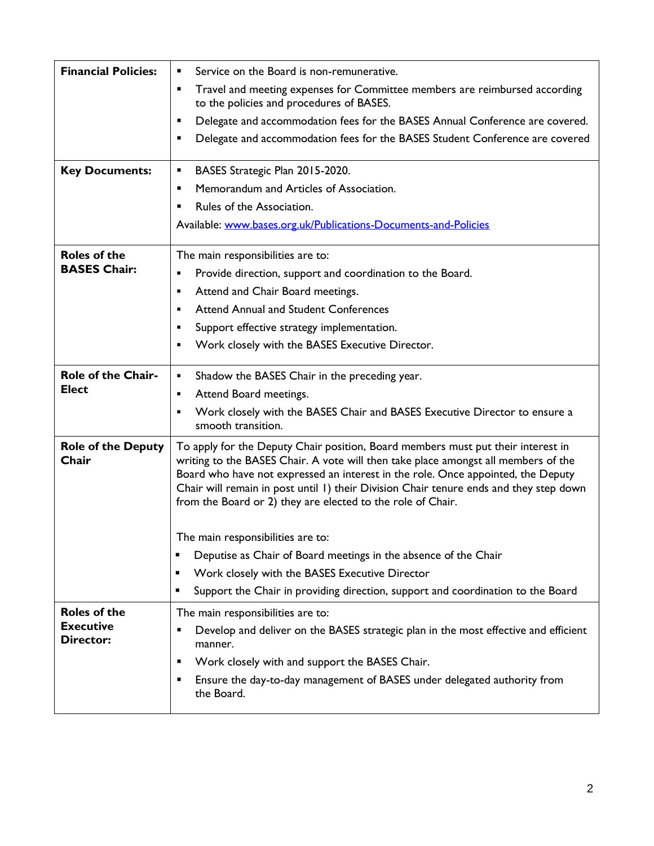| <b>Financial Policies:</b>         | Service on the Board is non-remunerative.                                                                                                                                                                                                                                                                                                                                                                           |
|------------------------------------|---------------------------------------------------------------------------------------------------------------------------------------------------------------------------------------------------------------------------------------------------------------------------------------------------------------------------------------------------------------------------------------------------------------------|
|                                    | Travel and meeting expenses for Committee members are reimbursed according<br>٠<br>to the policies and procedures of BASES.                                                                                                                                                                                                                                                                                         |
|                                    | Delegate and accommodation fees for the BASES Annual Conference are covered.<br>Ξ                                                                                                                                                                                                                                                                                                                                   |
|                                    | Delegate and accommodation fees for the BASES Student Conference are covered<br>п                                                                                                                                                                                                                                                                                                                                   |
| <b>Key Documents:</b>              | BASES Strategic Plan 2015-2020.<br>п                                                                                                                                                                                                                                                                                                                                                                                |
|                                    | Memorandum and Articles of Association.<br>П                                                                                                                                                                                                                                                                                                                                                                        |
|                                    | Rules of the Association.<br>П                                                                                                                                                                                                                                                                                                                                                                                      |
|                                    | Available: www.bases.org.uk/Publications-Documents-and-Policies                                                                                                                                                                                                                                                                                                                                                     |
| <b>Roles of the</b>                | The main responsibilities are to:                                                                                                                                                                                                                                                                                                                                                                                   |
| <b>BASES Chair:</b>                | Provide direction, support and coordination to the Board.<br>п                                                                                                                                                                                                                                                                                                                                                      |
|                                    | Attend and Chair Board meetings.<br>٠                                                                                                                                                                                                                                                                                                                                                                               |
|                                    | <b>Attend Annual and Student Conferences</b><br>٠                                                                                                                                                                                                                                                                                                                                                                   |
|                                    | Support effective strategy implementation.<br>п                                                                                                                                                                                                                                                                                                                                                                     |
|                                    | Work closely with the BASES Executive Director.<br>п                                                                                                                                                                                                                                                                                                                                                                |
| <b>Role of the Chair-</b>          | Shadow the BASES Chair in the preceding year.<br>٠                                                                                                                                                                                                                                                                                                                                                                  |
| <b>Elect</b>                       | Attend Board meetings.<br>٠                                                                                                                                                                                                                                                                                                                                                                                         |
|                                    | Work closely with the BASES Chair and BASES Executive Director to ensure a<br>smooth transition.                                                                                                                                                                                                                                                                                                                    |
| <b>Role of the Deputy</b><br>Chair | To apply for the Deputy Chair position, Board members must put their interest in<br>writing to the BASES Chair. A vote will then take place amongst all members of the<br>Board who have not expressed an interest in the role. Once appointed, the Deputy<br>Chair will remain in post until 1) their Division Chair tenure ends and they step down<br>from the Board or 2) they are elected to the role of Chair. |
|                                    | The main responsibilities are to:                                                                                                                                                                                                                                                                                                                                                                                   |
|                                    | Deputise as Chair of Board meetings in the absence of the Chair<br>٠                                                                                                                                                                                                                                                                                                                                                |
|                                    | Work closely with the BASES Executive Director<br>٠                                                                                                                                                                                                                                                                                                                                                                 |
|                                    | Support the Chair in providing direction, support and coordination to the Board<br>٠                                                                                                                                                                                                                                                                                                                                |
| <b>Roles of the</b>                | The main responsibilities are to:                                                                                                                                                                                                                                                                                                                                                                                   |
| <b>Executive</b>                   | Develop and deliver on the BASES strategic plan in the most effective and efficient<br>п                                                                                                                                                                                                                                                                                                                            |
| <b>Director:</b>                   | manner.                                                                                                                                                                                                                                                                                                                                                                                                             |
|                                    | Work closely with and support the BASES Chair.                                                                                                                                                                                                                                                                                                                                                                      |
|                                    | Ensure the day-to-day management of BASES under delegated authority from<br>п<br>the Board.                                                                                                                                                                                                                                                                                                                         |
|                                    |                                                                                                                                                                                                                                                                                                                                                                                                                     |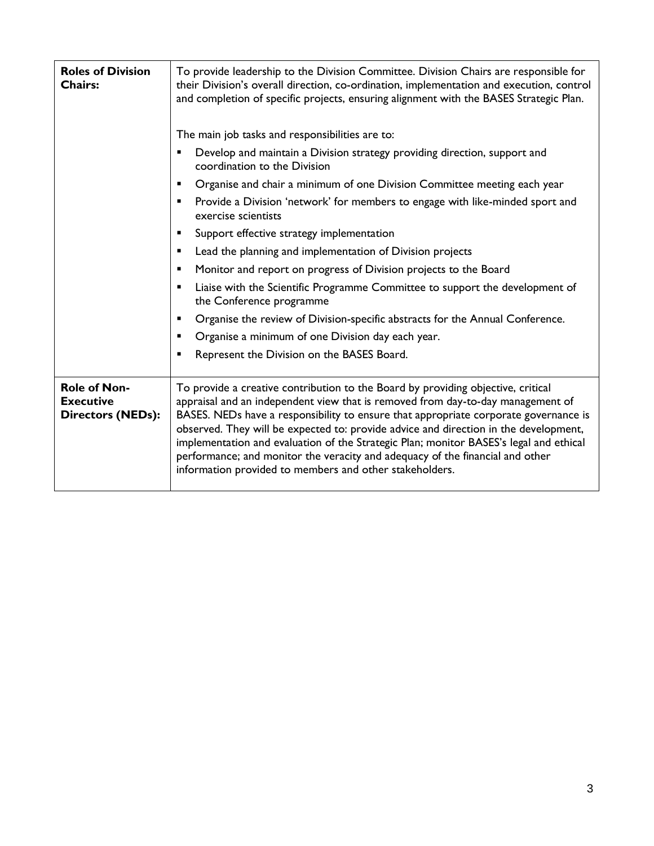| <b>Roles of Division</b><br><b>Chairs:</b>                          | To provide leadership to the Division Committee. Division Chairs are responsible for<br>their Division's overall direction, co-ordination, implementation and execution, control<br>and completion of specific projects, ensuring alignment with the BASES Strategic Plan.<br>The main job tasks and responsibilities are to:                                                                                                                                                                                                                                                             |
|---------------------------------------------------------------------|-------------------------------------------------------------------------------------------------------------------------------------------------------------------------------------------------------------------------------------------------------------------------------------------------------------------------------------------------------------------------------------------------------------------------------------------------------------------------------------------------------------------------------------------------------------------------------------------|
|                                                                     | Develop and maintain a Division strategy providing direction, support and<br>coordination to the Division                                                                                                                                                                                                                                                                                                                                                                                                                                                                                 |
|                                                                     | Organise and chair a minimum of one Division Committee meeting each year                                                                                                                                                                                                                                                                                                                                                                                                                                                                                                                  |
|                                                                     | Provide a Division 'network' for members to engage with like-minded sport and<br>٠<br>exercise scientists                                                                                                                                                                                                                                                                                                                                                                                                                                                                                 |
|                                                                     | Support effective strategy implementation                                                                                                                                                                                                                                                                                                                                                                                                                                                                                                                                                 |
|                                                                     | Lead the planning and implementation of Division projects<br>٠                                                                                                                                                                                                                                                                                                                                                                                                                                                                                                                            |
|                                                                     | Monitor and report on progress of Division projects to the Board<br>$\blacksquare$                                                                                                                                                                                                                                                                                                                                                                                                                                                                                                        |
|                                                                     | Liaise with the Scientific Programme Committee to support the development of<br>the Conference programme                                                                                                                                                                                                                                                                                                                                                                                                                                                                                  |
|                                                                     | Organise the review of Division-specific abstracts for the Annual Conference.                                                                                                                                                                                                                                                                                                                                                                                                                                                                                                             |
|                                                                     | Organise a minimum of one Division day each year.                                                                                                                                                                                                                                                                                                                                                                                                                                                                                                                                         |
|                                                                     | Represent the Division on the BASES Board.                                                                                                                                                                                                                                                                                                                                                                                                                                                                                                                                                |
| <b>Role of Non-</b><br><b>Executive</b><br><b>Directors (NEDs):</b> | To provide a creative contribution to the Board by providing objective, critical<br>appraisal and an independent view that is removed from day-to-day management of<br>BASES. NEDs have a responsibility to ensure that appropriate corporate governance is<br>observed. They will be expected to: provide advice and direction in the development,<br>implementation and evaluation of the Strategic Plan; monitor BASES's legal and ethical<br>performance; and monitor the veracity and adequacy of the financial and other<br>information provided to members and other stakeholders. |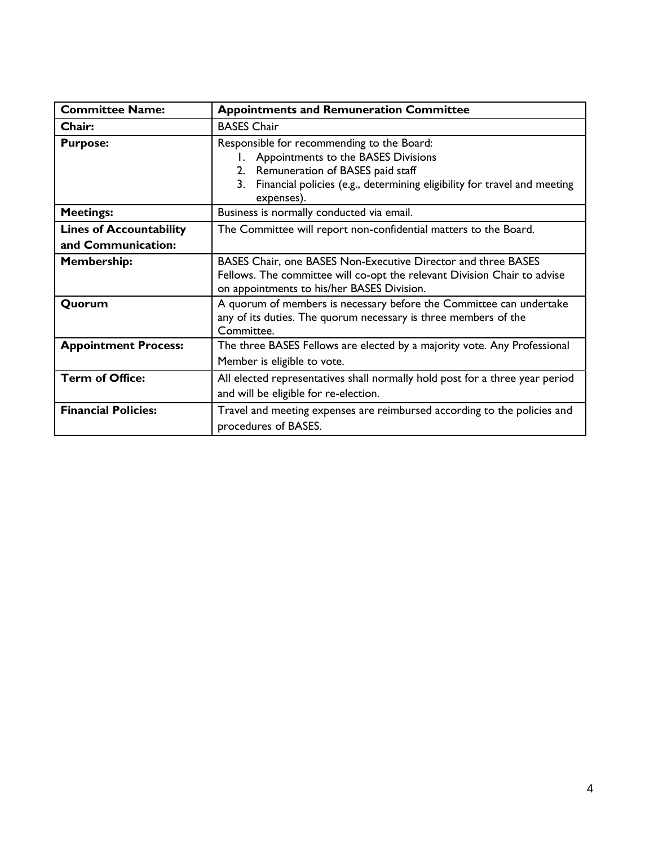| <b>Committee Name:</b>                               | <b>Appointments and Remuneration Committee</b>                                                                                                                                                                                    |
|------------------------------------------------------|-----------------------------------------------------------------------------------------------------------------------------------------------------------------------------------------------------------------------------------|
| Chair:                                               | <b>BASES Chair</b>                                                                                                                                                                                                                |
| <b>Purpose:</b>                                      | Responsible for recommending to the Board:<br>Appointments to the BASES Divisions<br>L.<br>Remuneration of BASES paid staff<br>2.<br>Financial policies (e.g., determining eligibility for travel and meeting<br>3.<br>expenses). |
| <b>Meetings:</b>                                     | Business is normally conducted via email.                                                                                                                                                                                         |
| <b>Lines of Accountability</b><br>and Communication: | The Committee will report non-confidential matters to the Board.                                                                                                                                                                  |
| <b>Membership:</b>                                   | BASES Chair, one BASES Non-Executive Director and three BASES<br>Fellows. The committee will co-opt the relevant Division Chair to advise<br>on appointments to his/her BASES Division.                                           |
| Quorum                                               | A quorum of members is necessary before the Committee can undertake<br>any of its duties. The quorum necessary is three members of the<br>Committee.                                                                              |
| <b>Appointment Process:</b>                          | The three BASES Fellows are elected by a majority vote. Any Professional<br>Member is eligible to vote.                                                                                                                           |
| <b>Term of Office:</b>                               | All elected representatives shall normally hold post for a three year period<br>and will be eligible for re-election.                                                                                                             |
| <b>Financial Policies:</b>                           | Travel and meeting expenses are reimbursed according to the policies and<br>procedures of BASES.                                                                                                                                  |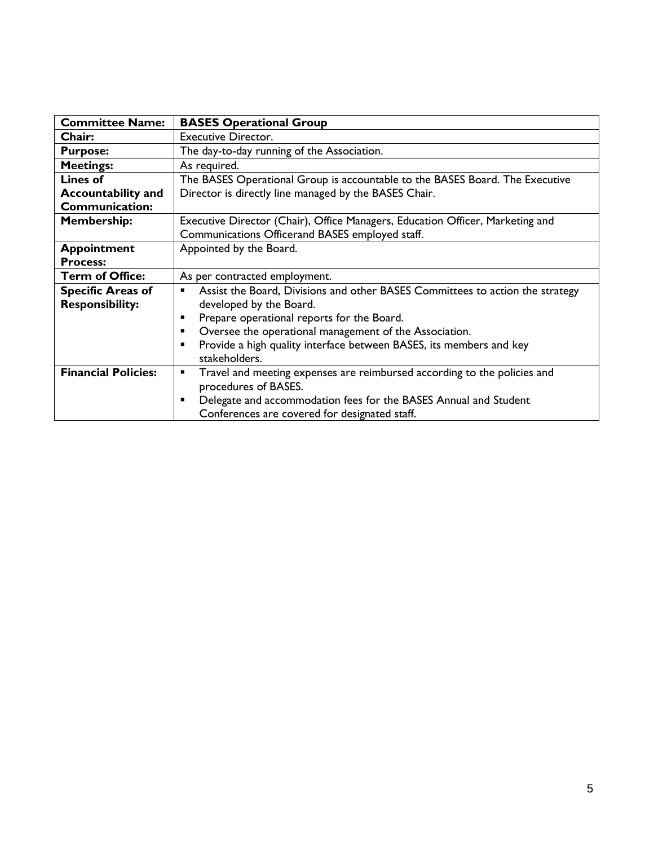| <b>Committee Name:</b>     | <b>BASES Operational Group</b>                                                             |
|----------------------------|--------------------------------------------------------------------------------------------|
| Chair:                     | <b>Executive Director.</b>                                                                 |
| <b>Purpose:</b>            | The day-to-day running of the Association.                                                 |
| <b>Meetings:</b>           | As required.                                                                               |
| <b>Lines of</b>            | The BASES Operational Group is accountable to the BASES Board. The Executive               |
| <b>Accountability and</b>  | Director is directly line managed by the BASES Chair.                                      |
| <b>Communication:</b>      |                                                                                            |
| <b>Membership:</b>         | Executive Director (Chair), Office Managers, Education Officer, Marketing and              |
|                            | Communications Officerand BASES employed staff.                                            |
| <b>Appointment</b>         | Appointed by the Board.                                                                    |
| <b>Process:</b>            |                                                                                            |
| <b>Term of Office:</b>     | As per contracted employment.                                                              |
| <b>Specific Areas of</b>   | Assist the Board, Divisions and other BASES Committees to action the strategy<br>٠         |
| <b>Responsibility:</b>     | developed by the Board.                                                                    |
|                            | Prepare operational reports for the Board.<br>п                                            |
|                            | Oversee the operational management of the Association.<br>$\blacksquare$                   |
|                            | Provide a high quality interface between BASES, its members and key<br>$\blacksquare$      |
|                            | stakeholders.                                                                              |
| <b>Financial Policies:</b> | Travel and meeting expenses are reimbursed according to the policies and<br>$\blacksquare$ |
|                            | procedures of BASES.                                                                       |
|                            | Delegate and accommodation fees for the BASES Annual and Student<br>$\blacksquare$         |
|                            | Conferences are covered for designated staff.                                              |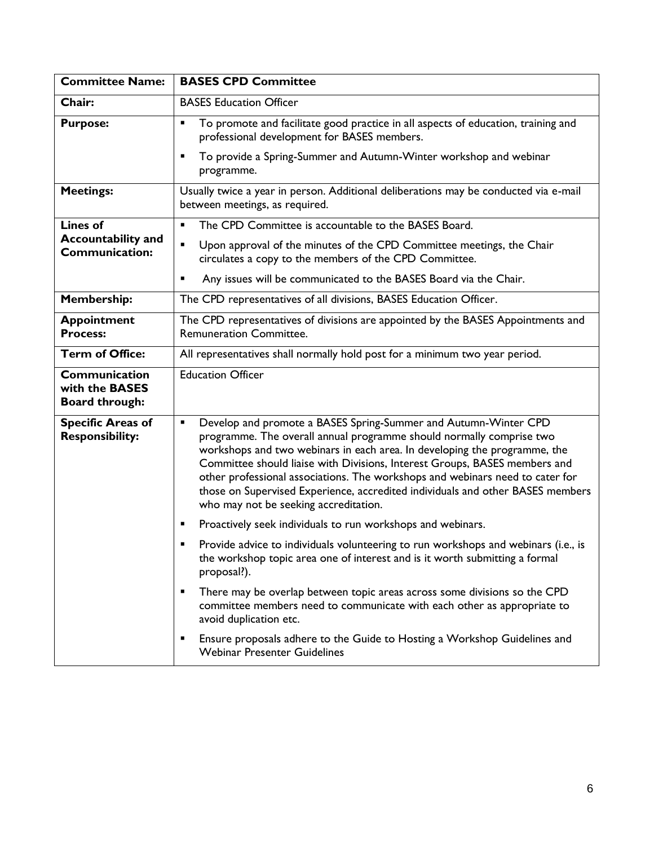| <b>Committee Name:</b>                                   | <b>BASES CPD Committee</b>                                                                                                                                                                                                                                                                                                                                                                                                                                                                                                       |
|----------------------------------------------------------|----------------------------------------------------------------------------------------------------------------------------------------------------------------------------------------------------------------------------------------------------------------------------------------------------------------------------------------------------------------------------------------------------------------------------------------------------------------------------------------------------------------------------------|
| Chair:                                                   | <b>BASES Education Officer</b>                                                                                                                                                                                                                                                                                                                                                                                                                                                                                                   |
| <b>Purpose:</b>                                          | To promote and facilitate good practice in all aspects of education, training and<br>$\blacksquare$<br>professional development for BASES members.                                                                                                                                                                                                                                                                                                                                                                               |
|                                                          | To provide a Spring-Summer and Autumn-Winter workshop and webinar<br>п<br>programme.                                                                                                                                                                                                                                                                                                                                                                                                                                             |
| <b>Meetings:</b>                                         | Usually twice a year in person. Additional deliberations may be conducted via e-mail<br>between meetings, as required.                                                                                                                                                                                                                                                                                                                                                                                                           |
| <b>Lines of</b>                                          | The CPD Committee is accountable to the BASES Board.<br>$\blacksquare$                                                                                                                                                                                                                                                                                                                                                                                                                                                           |
| <b>Accountability and</b><br><b>Communication:</b>       | $\blacksquare$<br>Upon approval of the minutes of the CPD Committee meetings, the Chair<br>circulates a copy to the members of the CPD Committee.                                                                                                                                                                                                                                                                                                                                                                                |
|                                                          | Any issues will be communicated to the BASES Board via the Chair.<br>$\blacksquare$                                                                                                                                                                                                                                                                                                                                                                                                                                              |
| <b>Membership:</b>                                       | The CPD representatives of all divisions, BASES Education Officer.                                                                                                                                                                                                                                                                                                                                                                                                                                                               |
| <b>Appointment</b><br><b>Process:</b>                    | The CPD representatives of divisions are appointed by the BASES Appointments and<br><b>Remuneration Committee.</b>                                                                                                                                                                                                                                                                                                                                                                                                               |
| <b>Term of Office:</b>                                   | All representatives shall normally hold post for a minimum two year period.                                                                                                                                                                                                                                                                                                                                                                                                                                                      |
| Communication<br>with the BASES<br><b>Board through:</b> | <b>Education Officer</b>                                                                                                                                                                                                                                                                                                                                                                                                                                                                                                         |
| <b>Specific Areas of</b><br><b>Responsibility:</b>       | Develop and promote a BASES Spring-Summer and Autumn-Winter CPD<br>$\blacksquare$<br>programme. The overall annual programme should normally comprise two<br>workshops and two webinars in each area. In developing the programme, the<br>Committee should liaise with Divisions, Interest Groups, BASES members and<br>other professional associations. The workshops and webinars need to cater for<br>those on Supervised Experience, accredited individuals and other BASES members<br>who may not be seeking accreditation. |
|                                                          | Proactively seek individuals to run workshops and webinars.<br>٠                                                                                                                                                                                                                                                                                                                                                                                                                                                                 |
|                                                          | Provide advice to individuals volunteering to run workshops and webinars (i.e., is<br>$\blacksquare$<br>the workshop topic area one of interest and is it worth submitting a formal<br>proposal?).                                                                                                                                                                                                                                                                                                                               |
|                                                          | There may be overlap between topic areas across some divisions so the CPD<br>п<br>committee members need to communicate with each other as appropriate to<br>avoid duplication etc.                                                                                                                                                                                                                                                                                                                                              |
|                                                          | Ensure proposals adhere to the Guide to Hosting a Workshop Guidelines and<br>п<br><b>Webinar Presenter Guidelines</b>                                                                                                                                                                                                                                                                                                                                                                                                            |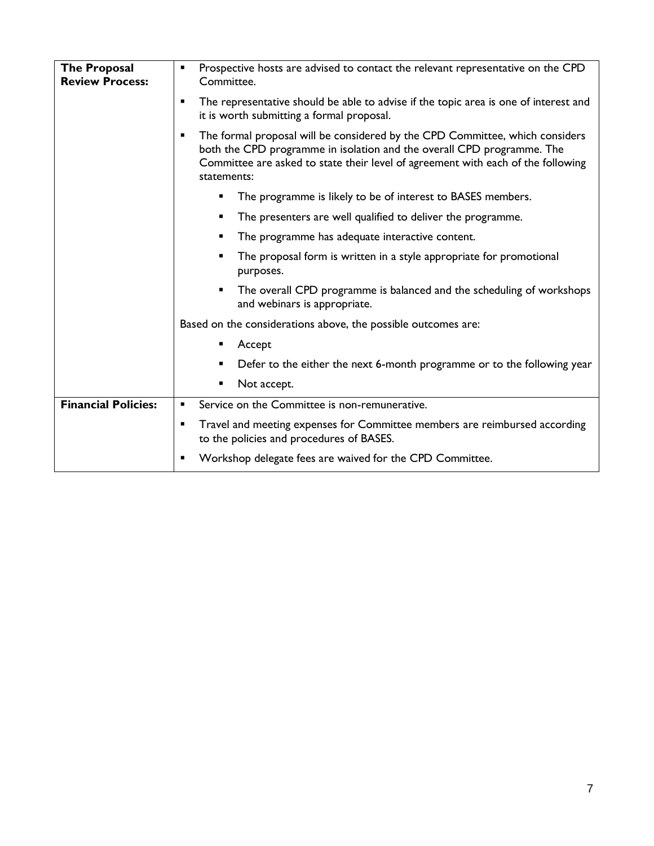| <b>The Proposal</b><br><b>Review Process:</b> | Prospective hosts are advised to contact the relevant representative on the CPD<br>٠<br>Committee.                                                                                                                                                             |
|-----------------------------------------------|----------------------------------------------------------------------------------------------------------------------------------------------------------------------------------------------------------------------------------------------------------------|
|                                               | The representative should be able to advise if the topic area is one of interest and<br>п<br>it is worth submitting a formal proposal.                                                                                                                         |
|                                               | The formal proposal will be considered by the CPD Committee, which considers<br>п<br>both the CPD programme in isolation and the overall CPD programme. The<br>Committee are asked to state their level of agreement with each of the following<br>statements: |
|                                               | The programme is likely to be of interest to BASES members.<br>Ξ                                                                                                                                                                                               |
|                                               | The presenters are well qualified to deliver the programme.                                                                                                                                                                                                    |
|                                               | The programme has adequate interactive content.<br>п                                                                                                                                                                                                           |
|                                               | The proposal form is written in a style appropriate for promotional<br>■<br>purposes.                                                                                                                                                                          |
|                                               | The overall CPD programme is balanced and the scheduling of workshops<br>П<br>and webinars is appropriate.                                                                                                                                                     |
|                                               | Based on the considerations above, the possible outcomes are:                                                                                                                                                                                                  |
|                                               | Accept                                                                                                                                                                                                                                                         |
|                                               | Defer to the either the next 6-month programme or to the following year                                                                                                                                                                                        |
|                                               | Not accept.                                                                                                                                                                                                                                                    |
| <b>Financial Policies:</b>                    | Service on the Committee is non-remunerative.<br>٠                                                                                                                                                                                                             |
|                                               | Travel and meeting expenses for Committee members are reimbursed according<br>٠<br>to the policies and procedures of BASES.                                                                                                                                    |
|                                               | Workshop delegate fees are waived for the CPD Committee.<br>٠                                                                                                                                                                                                  |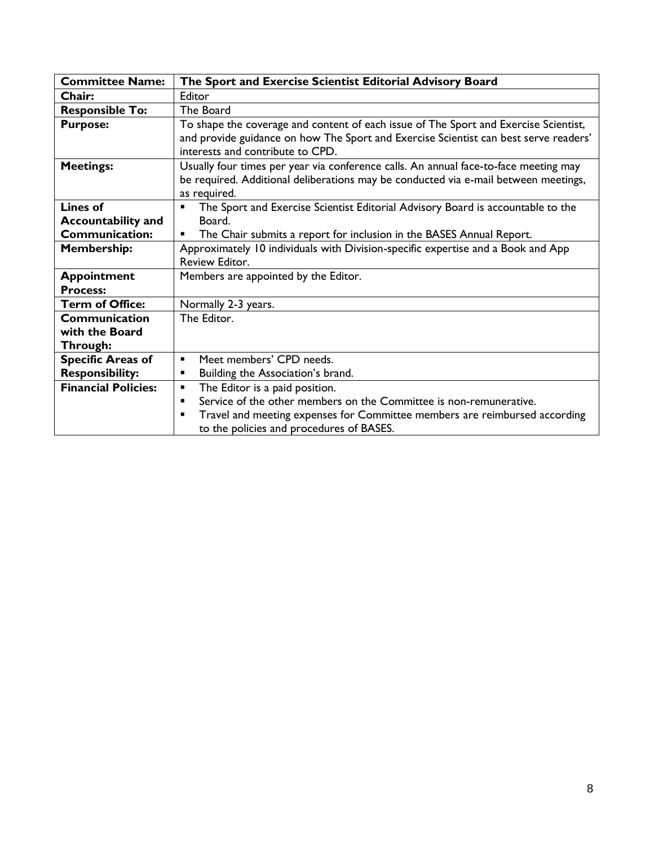| <b>Committee Name:</b>                | The Sport and Exercise Scientist Editorial Advisory Board                                                                                                                                                        |
|---------------------------------------|------------------------------------------------------------------------------------------------------------------------------------------------------------------------------------------------------------------|
| Chair:                                | Editor                                                                                                                                                                                                           |
| <b>Responsible To:</b>                | The Board                                                                                                                                                                                                        |
| <b>Purpose:</b>                       | To shape the coverage and content of each issue of The Sport and Exercise Scientist,<br>and provide guidance on how The Sport and Exercise Scientist can best serve readers'<br>interests and contribute to CPD. |
| <b>Meetings:</b>                      | Usually four times per year via conference calls. An annual face-to-face meeting may                                                                                                                             |
|                                       | be required. Additional deliberations may be conducted via e-mail between meetings,<br>as required.                                                                                                              |
| Lines of                              | The Sport and Exercise Scientist Editorial Advisory Board is accountable to the<br>$\blacksquare$                                                                                                                |
| <b>Accountability and</b>             | Board.                                                                                                                                                                                                           |
| <b>Communication:</b>                 | The Chair submits a report for inclusion in the BASES Annual Report.<br>$\blacksquare$                                                                                                                           |
| <b>Membership:</b>                    | Approximately 10 individuals with Division-specific expertise and a Book and App<br>Review Editor.                                                                                                               |
| <b>Appointment</b><br><b>Process:</b> | Members are appointed by the Editor.                                                                                                                                                                             |
| <b>Term of Office:</b>                | Normally 2-3 years.                                                                                                                                                                                              |
| Communication                         | The Editor.                                                                                                                                                                                                      |
| with the Board                        |                                                                                                                                                                                                                  |
| Through:                              |                                                                                                                                                                                                                  |
| <b>Specific Areas of</b>              | Meet members' CPD needs.<br>$\blacksquare$                                                                                                                                                                       |
| <b>Responsibility:</b>                | Building the Association's brand.<br>$\blacksquare$                                                                                                                                                              |
| <b>Financial Policies:</b>            | The Editor is a paid position.<br>٠                                                                                                                                                                              |
|                                       | Service of the other members on the Committee is non-remunerative.<br>$\blacksquare$                                                                                                                             |
|                                       | Travel and meeting expenses for Committee members are reimbursed according<br>$\blacksquare$<br>to the policies and procedures of BASES.                                                                         |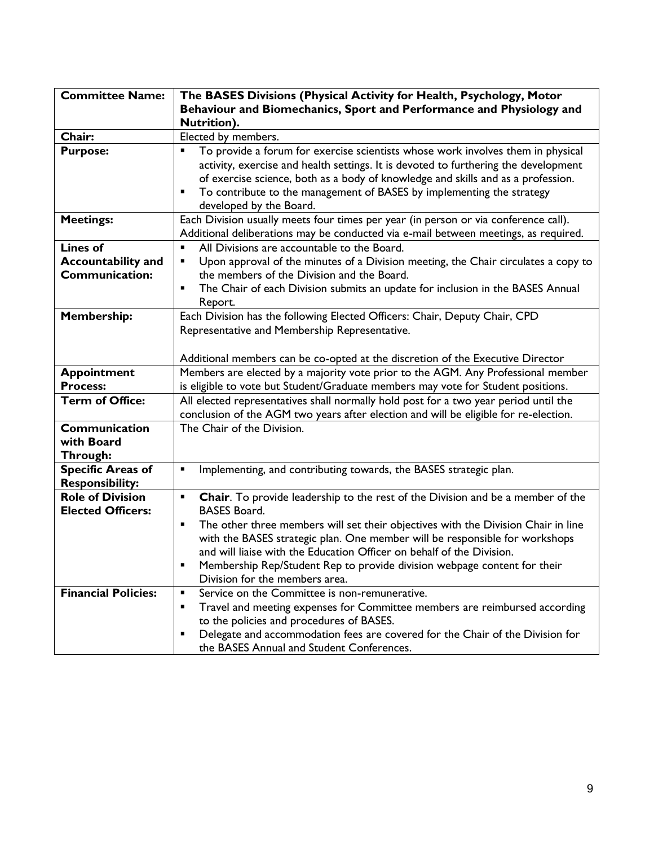| <b>Committee Name:</b>                              | The BASES Divisions (Physical Activity for Health, Psychology, Motor                                                                                                                                                                                                                                                                                                     |
|-----------------------------------------------------|--------------------------------------------------------------------------------------------------------------------------------------------------------------------------------------------------------------------------------------------------------------------------------------------------------------------------------------------------------------------------|
|                                                     | Behaviour and Biomechanics, Sport and Performance and Physiology and                                                                                                                                                                                                                                                                                                     |
|                                                     | Nutrition).                                                                                                                                                                                                                                                                                                                                                              |
| Chair:                                              | Elected by members.                                                                                                                                                                                                                                                                                                                                                      |
| <b>Purpose:</b>                                     | To provide a forum for exercise scientists whose work involves them in physical<br>П<br>activity, exercise and health settings. It is devoted to furthering the development<br>of exercise science, both as a body of knowledge and skills and as a profession.<br>To contribute to the management of BASES by implementing the strategy<br>٠<br>developed by the Board. |
| <b>Meetings:</b>                                    | Each Division usually meets four times per year (in person or via conference call).<br>Additional deliberations may be conducted via e-mail between meetings, as required.                                                                                                                                                                                               |
| <b>Lines of</b>                                     | All Divisions are accountable to the Board.<br>$\blacksquare$                                                                                                                                                                                                                                                                                                            |
| <b>Accountability and</b>                           | Upon approval of the minutes of a Division meeting, the Chair circulates a copy to<br>П                                                                                                                                                                                                                                                                                  |
| <b>Communication:</b>                               | the members of the Division and the Board.                                                                                                                                                                                                                                                                                                                               |
|                                                     | The Chair of each Division submits an update for inclusion in the BASES Annual<br>Е<br>Report.                                                                                                                                                                                                                                                                           |
| <b>Membership:</b>                                  | Each Division has the following Elected Officers: Chair, Deputy Chair, CPD                                                                                                                                                                                                                                                                                               |
|                                                     | Representative and Membership Representative.                                                                                                                                                                                                                                                                                                                            |
|                                                     |                                                                                                                                                                                                                                                                                                                                                                          |
|                                                     | Additional members can be co-opted at the discretion of the Executive Director                                                                                                                                                                                                                                                                                           |
| <b>Appointment</b>                                  | Members are elected by a majority vote prior to the AGM. Any Professional member                                                                                                                                                                                                                                                                                         |
| <b>Process:</b>                                     | is eligible to vote but Student/Graduate members may vote for Student positions.                                                                                                                                                                                                                                                                                         |
| <b>Term of Office:</b>                              | All elected representatives shall normally hold post for a two year period until the                                                                                                                                                                                                                                                                                     |
|                                                     | conclusion of the AGM two years after election and will be eligible for re-election.                                                                                                                                                                                                                                                                                     |
| Communication                                       | The Chair of the Division.                                                                                                                                                                                                                                                                                                                                               |
| with Board                                          |                                                                                                                                                                                                                                                                                                                                                                          |
| Through:                                            |                                                                                                                                                                                                                                                                                                                                                                          |
| <b>Specific Areas of</b>                            | Implementing, and contributing towards, the BASES strategic plan.<br>$\blacksquare$                                                                                                                                                                                                                                                                                      |
| <b>Responsibility:</b>                              |                                                                                                                                                                                                                                                                                                                                                                          |
| <b>Role of Division</b><br><b>Elected Officers:</b> | Chair. To provide leadership to the rest of the Division and be a member of the<br>$\blacksquare$<br><b>BASES Board.</b>                                                                                                                                                                                                                                                 |
|                                                     | The other three members will set their objectives with the Division Chair in line<br>П                                                                                                                                                                                                                                                                                   |
|                                                     | with the BASES strategic plan. One member will be responsible for workshops                                                                                                                                                                                                                                                                                              |
|                                                     | and will liaise with the Education Officer on behalf of the Division.                                                                                                                                                                                                                                                                                                    |
|                                                     | Membership Rep/Student Rep to provide division webpage content for their<br>П                                                                                                                                                                                                                                                                                            |
|                                                     | Division for the members area.                                                                                                                                                                                                                                                                                                                                           |
| <b>Financial Policies:</b>                          | Service on the Committee is non-remunerative.<br>$\blacksquare$                                                                                                                                                                                                                                                                                                          |
|                                                     | Travel and meeting expenses for Committee members are reimbursed according<br>٠                                                                                                                                                                                                                                                                                          |
|                                                     | to the policies and procedures of BASES.                                                                                                                                                                                                                                                                                                                                 |
|                                                     | Delegate and accommodation fees are covered for the Chair of the Division for<br>п                                                                                                                                                                                                                                                                                       |
|                                                     | the BASES Annual and Student Conferences.                                                                                                                                                                                                                                                                                                                                |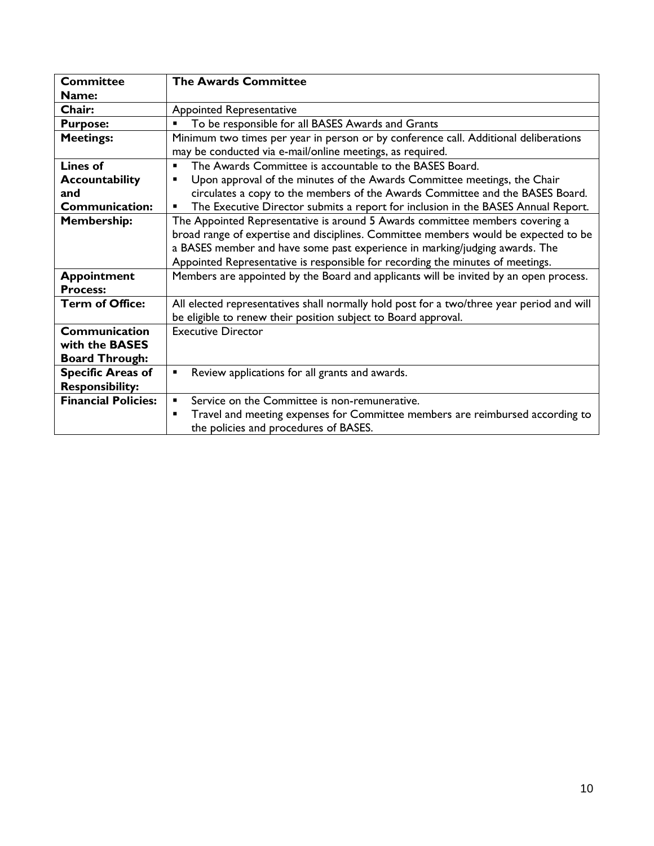| <b>Committee</b>           | <b>The Awards Committee</b>                                                               |
|----------------------------|-------------------------------------------------------------------------------------------|
| Name:                      |                                                                                           |
| Chair:                     | <b>Appointed Representative</b>                                                           |
| <b>Purpose:</b>            | To be responsible for all BASES Awards and Grants<br>٠                                    |
| <b>Meetings:</b>           | Minimum two times per year in person or by conference call. Additional deliberations      |
|                            | may be conducted via e-mail/online meetings, as required.                                 |
| Lines of                   | The Awards Committee is accountable to the BASES Board.<br>٠                              |
| <b>Accountability</b>      | Upon approval of the minutes of the Awards Committee meetings, the Chair<br>٠             |
| and                        | circulates a copy to the members of the Awards Committee and the BASES Board.             |
| Communication:             | The Executive Director submits a report for inclusion in the BASES Annual Report.<br>٠    |
| <b>Membership:</b>         | The Appointed Representative is around 5 Awards committee members covering a              |
|                            | broad range of expertise and disciplines. Committee members would be expected to be       |
|                            | a BASES member and have some past experience in marking/judging awards. The               |
|                            | Appointed Representative is responsible for recording the minutes of meetings.            |
| <b>Appointment</b>         | Members are appointed by the Board and applicants will be invited by an open process.     |
| <b>Process:</b>            |                                                                                           |
| <b>Term of Office:</b>     | All elected representatives shall normally hold post for a two/three year period and will |
|                            | be eligible to renew their position subject to Board approval.                            |
| Communication              | <b>Executive Director</b>                                                                 |
| with the <b>BASES</b>      |                                                                                           |
| <b>Board Through:</b>      |                                                                                           |
| <b>Specific Areas of</b>   | Review applications for all grants and awards.<br>٠                                       |
| <b>Responsibility:</b>     |                                                                                           |
| <b>Financial Policies:</b> | Service on the Committee is non-remunerative.<br>$\blacksquare$                           |
|                            | Travel and meeting expenses for Committee members are reimbursed according to<br>٠        |
|                            | the policies and procedures of BASES.                                                     |